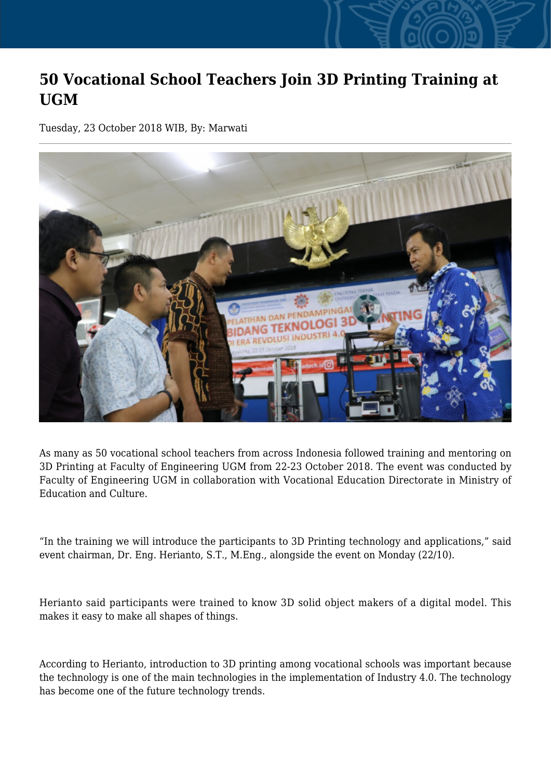## **50 Vocational School Teachers Join 3D Printing Training at UGM**

Tuesday, 23 October 2018 WIB, By: Marwati



As many as 50 vocational school teachers from across Indonesia followed training and mentoring on 3D Printing at Faculty of Engineering UGM from 22-23 October 2018. The event was conducted by Faculty of Engineering UGM in collaboration with Vocational Education Directorate in Ministry of Education and Culture.

"In the training we will introduce the participants to 3D Printing technology and applications," said event chairman, Dr. Eng. Herianto, S.T., M.Eng., alongside the event on Monday (22/10).

Herianto said participants were trained to know 3D solid object makers of a digital model. This makes it easy to make all shapes of things.

According to Herianto, introduction to 3D printing among vocational schools was important because the technology is one of the main technologies in the implementation of Industry 4.0. The technology has become one of the future technology trends.